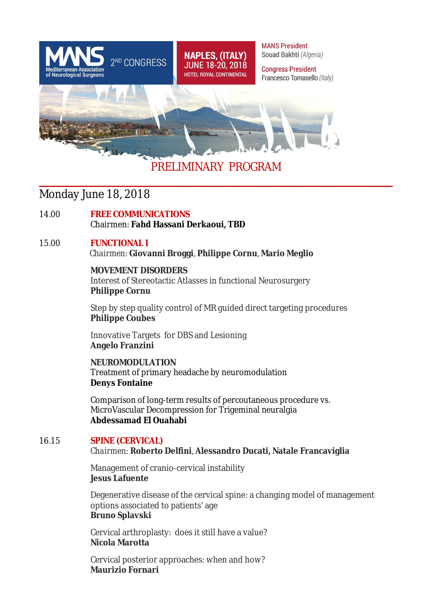

# **\_\_\_\_\_\_\_\_\_\_\_\_\_\_\_\_\_\_\_\_\_\_\_\_\_\_\_\_\_\_\_\_\_\_\_\_\_\_\_\_\_\_\_\_\_\_\_\_\_\_\_\_\_\_\_\_\_\_\_\_\_\_\_\_\_\_\_\_\_\_\_\_\_\_\_\_\_\_\_\_\_\_**

### Monday June 18, 2018

14.00 **FREE COMMUNICATIONS**  Chairmen: **Fahd Hassani Derkaoui, TBD**

#### 15.00 **FUNCTIONAL I**

 *Chairmen:* **Giovanni Broggi**, **Philippe Cornu**, **Mario Meglio**

#### **MOVEMENT DISORDERS**

Interest of Stereotactic Atlasses in functional Neurosurgery **Philippe Cornu**

Step by step quality control of MR guided direct targeting procedures **Philippe Coubes**

 Innovative Targets for DBS and Lesioning **Angelo Franzini** 

**NEUROMODULATION** Treatment of primary headache by neuromodulation **Denys Fontaine** 

Comparison of long-term results of percoutaneous procedure vs. MicroVascular Decompression for Trigeminal neuralgia **Abdessamad El Ouahabi** 

#### 16.15 **SPINE (CERVICAL)** *Chairmen:* **Roberto Delfini**, **Alessandro Ducati, Natale Francaviglia**

Management of cranio-cervical instability **Jesus Lafuente**

Degenerative disease of the cervical spine: a changing model of management options associated to patients' age **Bruno Splavski**

Cervical arthroplasty: does it still have a value? **Nicola Marotta**

Cervical posterior approaches: when and how? **Maurizio Fornari**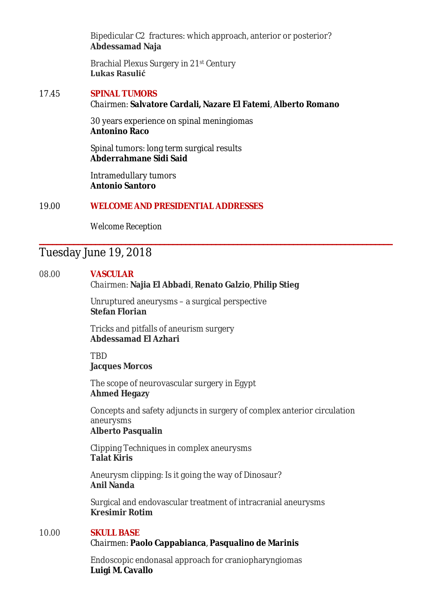Bipedicular C2 fractures: which approach, anterior or posterior? **Abdessamad Naja**

 Brachial Plexus Surgery in 21st Century **Lukas Rasulić**

#### 17.45 **SPINAL TUMORS** *Chairmen:* **Salvatore Cardali, Nazare El Fatemi**, **Alberto Romano**

30 years experience on spinal meningiomas **Antonino Raco**

Spinal tumors: long term surgical results **Abderrahmane Sidi Said**

Intramedullary tumors **Antonio Santoro**

#### 19.00 **WELCOME AND PRESIDENTIAL ADDRESSES**

*Welcome Reception*

### Tuesday June 19, 2018

#### 08.00 **VASCULAR**

#### *Chairmen:* **Najia El Abbadi**, **Renato Galzio**, **Philip Stieg**

**\_\_\_\_\_\_\_\_\_\_\_\_\_\_\_\_\_\_\_\_\_\_\_\_\_\_\_\_\_\_\_\_\_\_\_\_\_\_\_\_\_\_\_\_\_\_\_\_\_\_\_\_\_\_\_\_\_\_\_\_\_\_\_\_\_\_\_\_\_\_\_\_\_\_\_\_\_\_\_\_\_\_**

Unruptured aneurysms – a surgical perspective **Stefan Florian**

Tricks and pitfalls of aneurism surgery **Abdessamad El Azhari** 

TBD **Jacques Morcos** 

The scope of neurovascular surgery in Egypt **Ahmed Hegazy**

Concepts and safety adjuncts in surgery of complex anterior circulation aneurysms **Alberto Pasqualin**

Clipping Techniques in complex aneurysms **Talat Kiris**

Aneurysm clipping: Is it going the way of Dinosaur? **Anil Nanda**

Surgical and endovascular treatment of intracranial aneurysms **Kresimir Rotim**

#### 10.00 **SKULL BASE**

#### *Chairmen:* **Paolo Cappabianca**, **Pasqualino de Marinis**

Endoscopic endonasal approach for craniopharyngiomas **Luigi M. Cavallo**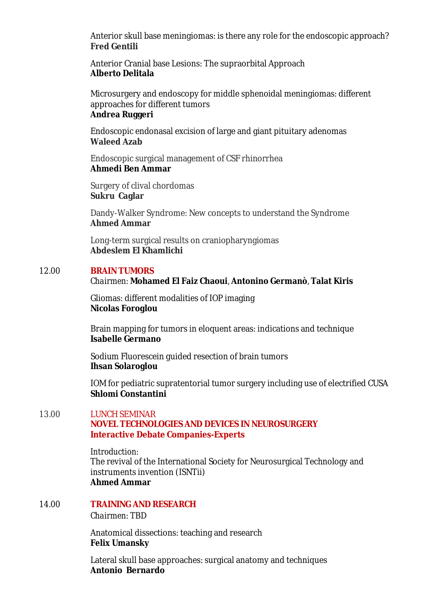Anterior skull base meningiomas: is there any role for the endoscopic approach? **Fred Gentili** 

Anterior Cranial base Lesions: The supraorbital Approach **Alberto Delitala** 

Microsurgery and endoscopy for middle sphenoidal meningiomas: different approaches for different tumors **Andrea Ruggeri** 

Endoscopic endonasal excision of large and giant pituitary adenomas **Waleed Azab** 

Endoscopic surgical management of CSF rhinorrhea **Ahmedi Ben Ammar**

Surgery of clival chordomas **Sukru Caglar**

Dandy-Walker Syndrome: New concepts to understand the Syndrome **Ahmed Ammar**

Long-term surgical results on craniopharyngiomas **Abdeslem El Khamlichi**

#### 12.00 **BRAIN TUMORS**

#### *Chairmen:* **Mohamed El Faiz Chaoui**, **Antonino Germanò**, **Talat Kiris**

Gliomas: different modalities of IOP imaging **Nicolas Foroglou**

Brain mapping for tumors in eloquent areas: indications and technique **Isabelle Germano**

Sodium Fluorescein guided resection of brain tumors **Ihsan Solaroglou**

IOM for pediatric supratentorial tumor surgery including use of electrified CUSA **Shlomi Constantini**

#### 13.00 LUNCH SEMINAR **NOVEL TECHNOLOGIES AND DEVICES IN NEUROSURGERY Interactive Debate Companies-Experts**

*Introduction:* The revival of the International Society for Neurosurgical Technology and instruments invention (ISNTii) **Ahmed Ammar** 

14.00 **TRAINING AND RESEARCH**

*Chairmen:* TBD

Anatomical dissections: teaching and research **Felix Umansky**

Lateral skull base approaches: surgical anatomy and techniques **Antonio Bernardo**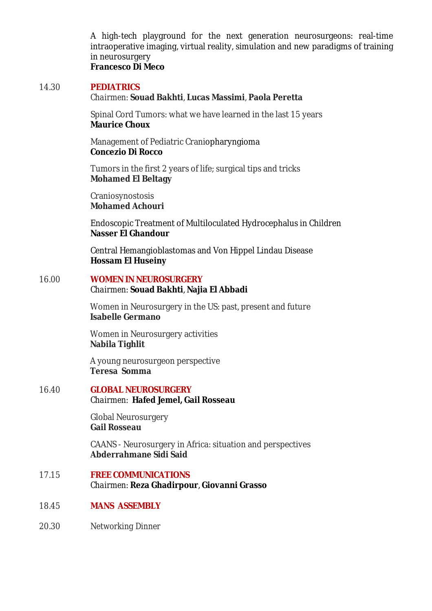A high-tech playground for the next generation neurosurgeons: real-time intraoperative imaging, virtual reality, simulation and new paradigms of training in neurosurgery **Francesco Di Meco** 

#### 14.30 **PEDIATRICS**

#### *Chairmen:* **Souad Bakhti**, **Lucas Massimi**, **Paola Peretta**

Spinal Cord Tumors: what we have learned in the last 15 years **Maurice Choux**

Management of Pediatric Craniopharyngioma **Concezio Di Rocco**

Tumors in the first 2 years of life; surgical tips and tricks **Mohamed El Beltagy**

Craniosynostosis **Mohamed Achouri**

Endoscopic Treatment of Multiloculated Hydrocephalus in Children **Nasser El Ghandour** 

Central Hemangioblastomas and Von Hippel Lindau Disease **Hossam El Huseiny**

#### 16.00 **WOMEN IN NEUROSURGERY** *Chairmen:* **Souad Bakhti**, **Najia El Abbadi**

Women in Neurosurgery in the US: past, present and future **Isabelle Germano** 

Women in Neurosurgery activities **Nabila Tighlit**

A young neurosurgeon perspective **Teresa Somma**

#### 16.40 **GLOBAL NEUROSURGERY** *Chairmen:* **Hafed Jemel, Gail Rosseau**

 Global Neurosurgery **Gail Rosseau**

CAANS - Neurosurgery in Africa: situation and perspectives **Abderrahmane Sidi Said** 

#### 17.15 **FREE COMMUNICATIONS**  *Chairmen:* **Reza Ghadirpour**, **Giovanni Grasso**

- 18.45 **MANS ASSEMBLY**
- 20.30 *Networking Dinner*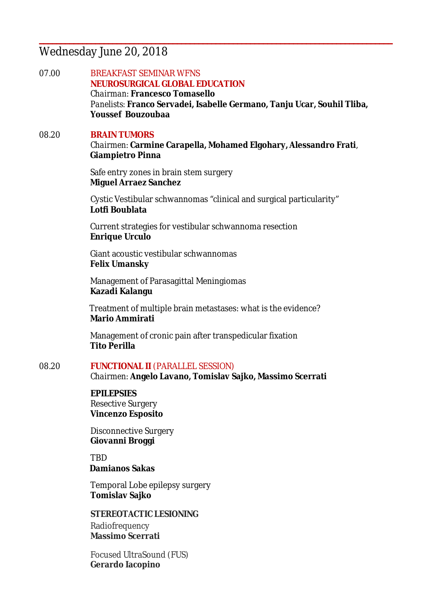### Wednesday June 20, 2018

07.00 BREAKFAST SEMINAR WFNS **NEUROSURGICAL GLOBAL EDUCATION** *Chairman:* **Francesco Tomasello** *Panelists:* **Franco Servadei, Isabelle Germano, Tanju Ucar, Souhil Tliba, Youssef Bouzoubaa** 

**\_\_\_\_\_\_\_\_\_\_\_\_\_\_\_\_\_\_\_\_\_\_\_\_\_\_\_\_\_\_\_\_\_\_\_\_\_\_\_\_\_\_\_\_\_\_\_\_\_\_\_\_\_\_\_\_\_\_\_\_\_\_\_\_\_\_\_\_\_\_\_\_\_\_\_\_\_\_\_\_\_\_**

## 08.20 **BRAIN TUMORS**

*Chairmen:* **Carmine Carapella, Mohamed Elgohary, Alessandro Frati**, **Giampietro Pinna** 

Safe entry zones in brain stem surgery **Miguel Arraez Sanchez** 

 Cystic Vestibular schwannomas "clinical and surgical particularity" **Lotfi Boublata**

Current strategies for vestibular schwannoma resection **Enrique Urculo** 

Giant acoustic vestibular schwannomas **Felix Umansky** 

Management of Parasagittal Meningiomas **Kazadi Kalangu**

 Treatment of multiple brain metastases: what is the evidence? **Mario Ammirati** 

Management of cronic pain after transpedicular fixation **Tito Perilla**

08.20 **FUNCTIONAL II** (PARALLEL SESSION) *Chairmen:* **Angelo Lavano, Tomislav Sajko, Massimo Scerrati**

#### **EPILEPSIES**

Resective Surgery **Vincenzo Esposito**

Disconnective Surgery **Giovanni Broggi**

**TRD Damianos Sakas**

 Temporal Lobe epilepsy surgery **Tomislav Sajko** 

 **STEREOTACTIC LESIONING** Radiofrequency **Massimo Scerrati**

Focused UltraSound (FUS) **Gerardo Iacopino**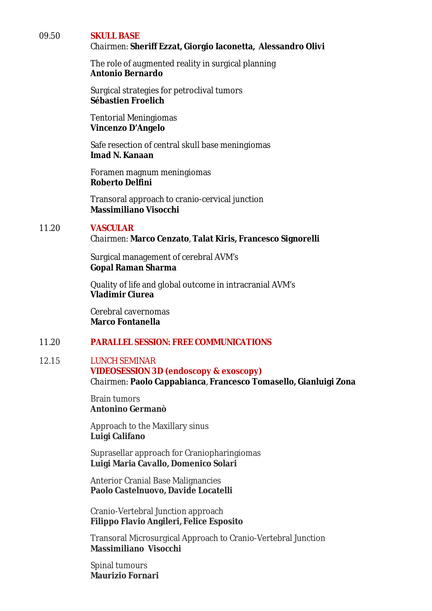#### 09.50 **SKULL BASE**

#### *Chairmen:* **Sheriff Ezzat, Giorgio Iaconetta, Alessandro Olivi**

The role of augmented reality in surgical planning **Antonio Bernardo**

Surgical strategies for petroclival tumors **Sébastien Froelich** 

 Tentorial Meningiomas **Vincenzo D'Angelo** 

Safe resection of central skull base meningiomas **Imad N. Kanaan** 

Foramen magnum meningiomas **Roberto Delfini** 

Transoral approach to cranio-cervical junction **Massimiliano Visocchi**

#### 11.20 **VASCULAR**

*Chairmen:* **Marco Cenzato**, **Talat Kiris, Francesco Signorelli** 

Surgical management of cerebral AVM's **Gopal Raman Sharma**

Quality of life and global outcome in intracranial AVM's **Vladimir Ciurea** 

Cerebral cavernomas **Marco Fontanella**

#### 11.20 **PARALLEL SESSION: FREE COMMUNICATIONS**

#### 12.15 LUNCH SEMINAR **VIDEOSESSION 3D (endoscopy & exoscopy)** *Chairmen:* **Paolo Cappabianca**, **Francesco Tomasello, Gianluigi Zona**

Brain tumors **Antonino Germanò**

Approach to the Maxillary sinus **Luigi Califano**

Suprasellar approach for Craniopharingiomas **Luigi Maria Cavallo, Domenico Solari**

Anterior Cranial Base Malignancies **Paolo Castelnuovo, Davide Locatelli**

Cranio-Vertebral Junction approach **Filippo Flavio Angileri, Felice Esposito**

Transoral Microsurgical Approach to Cranio-Vertebral Junction **Massimiliano Visocchi**

Spinal tumours **Maurizio Fornari**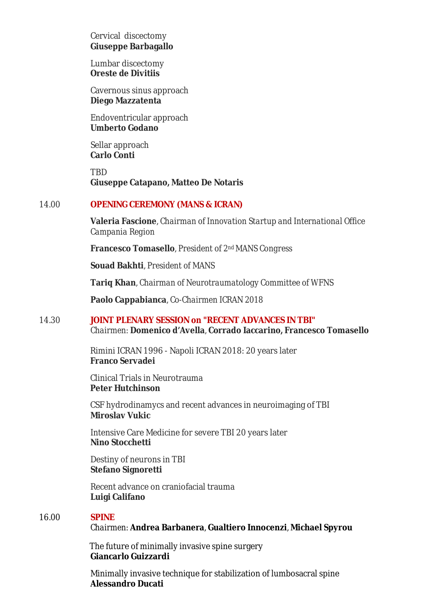Cervical discectomy **Giuseppe Barbagallo**

Lumbar discectomy **Oreste de Divitiis**

Cavernous sinus approach **Diego Mazzatenta**

Endoventricular approach **Umberto Godano** 

Sellar approach **Carlo Conti**

**TRD Giuseppe Catapano, Matteo De Notaris**

#### 14.00 **OPENING CEREMONY (MANS & ICRAN)**

**Valeria Fascione**, *Chairman of Innovation Startup and International Office Campania Region*

**Francesco Tomasello**, *President of 2ndMANS Congress*

**Souad Bakhti**, *President of MANS*

**Tariq Khan**, *Chairman of Neurotraumatology Committee of WFNS*

**Paolo Cappabianca**, *Co-Chairmen ICRAN 2018*

#### 14.30 **JOINT PLENARY SESSION on "RECENT ADVANCES IN TBI"** *Chairmen:* **Domenico d'Avella**, **Corrado Iaccarino, Francesco Tomasello**

Rimini ICRAN 1996 - Napoli ICRAN 2018: 20 years later **Franco Servadei**

Clinical Trials in Neurotrauma **Peter Hutchinson**

CSF hydrodinamycs and recent advances in neuroimaging of TBI **Miroslav Vukic**

Intensive Care Medicine for severe TBI 20 years later **Nino Stocchetti** 

Destiny of neurons in TBI **Stefano Signoretti**

Recent advance on craniofacial trauma **Luigi Califano**

#### 16.00 **SPINE**

*Chairmen:* **Andrea Barbanera**, **Gualtiero Innocenzi**, **Michael Spyrou** 

 The future of minimally invasive spine surgery  **Giancarlo Guizzardi** 

Minimally invasive technique for stabilization of lumbosacral spine **Alessandro Ducati**